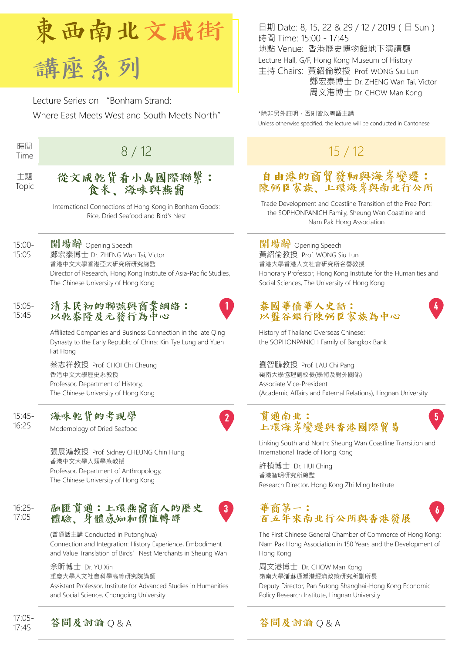

Lecture Series on "Bonham Strand: Where East Meets West and South Meets North"

時間

#### 主題 Topic

## 從文咸乾貨看小島國際聯繫: 食米、海味與燕窩

International Connections of Hong Kong in Bonham Goods: Rice, Dried Seafood and Bird's Nest

15:00- 15:05

開場辭 Opening Speech 鄭宏泰博士 Dr. ZHENG Wan Tai, Victor 香港中文大學香港亞太研究所研究總監 Director of Research, Hong Kong Institute of Asia-Pacific Studies, The Chinese University of Hong Kong

#### 15:05- 15:45 清末民初的聯號與商業網絡: 以乾泰隆及元發行為中心



 $3$ 

Affiliated Companies and Business Connection in the late Qing Dynasty to the Early Republic of China: Kin Tye Lung and Yuen Fat Hong

蔡志祥教授 Prof. CHOI Chi Cheung 香港中文大學歷史系教授 Professor, Department of History, The Chinese University of Hong Kong

15:45- 16:25 海味乾貨的考現學

Modernology of Dried Seafood

張展鴻教授 Prof. Sidney CHEUNG Chin Hung 香港中文大學人類學系教授 Professor, Department of Anthropology, The Chinese University of Hong Kong

16:25- 17:05

融匯貫通:上環燕窩商人的歷史 體驗、身體感知和價值轉譯

(普通話主講 Conducted in Putonghua) Connection and Integration: History Experience, Embodiment and Value Translation of Birds' Nest Merchants in Sheung Wan

余昕博士 Dr. YU Xin

重慶大學人文社會科學高等研究院講師

Assistant Professor, Institute for Advanced Studies in Humanities and Social Science, Chongqing University

日期 Date: 8, 15, 22 & 29 / 12 / 2019(日 Sun) 時間 Time: 15:00 - 17:45 地點 Venue: 香港歷史博物館地下演講廳 Lecture Hall, G/F, Hong Kong Museum of History 主持 Chairs: 黃紹倫教授 Prof. WONG Siu Lun 鄭宏泰博士 Dr. ZHENG Wan Tai, Victor 周文港博士 Dr. CHOW Man Kong

\*除非另外註明,否則皆以粵語主講 Unless otherwise specified, the lecture will be conducted in Cantonese

# <sup>時間</sup> 15 / 12 15 / 12 15 / 12 15 / 12

### 自由港的商貿發軔與海岸變遷: 陳弼臣家族、上環海岸與南北行公所

Trade Development and Coastline Transition of the Free Port: the SOPHONPANICH Family, Sheung Wan Coastline and Nam Pak Hong Association

開場辭 Opening Speech 黃紹倫教授 Prof. WONG Siu Lun 香港大學香港人文社會研究所名譽教授 Honorary Professor, Hong Kong Institute for the Humanities and Social Sciences, The University of Hong Kong

#### 泰國華僑華人史話: 以盤谷銀行陳弼臣家族為中心

History of Thailand Overseas Chinese: the SOPHONPANICH Family of Bangkok Bank

劉智鵬教授 Prof. LAU Chi Pang 嶺南大學協理副校長(學術及對外關係) Associate Vice-President (Academic Affairs and External Relations), Lingnan University

### 貫通南北: 上環海岸變遷與香港國際貿易

Linking South and North: Sheung Wan Coastline Transition and International Trade of Hong Kong

許楨博士 Dr. HUI Ching 香港智明研究所總監 Research Director, Hong Kong Zhi Ming Institute

## 華商第一: 百五年來南北行公所與香港發展

The First Chinese General Chamber of Commerce of Hong Kong: Nam Pak Hong Association in 150 Years and the Development of Hong Kong

 $\boldsymbol{b}$ 

周文港博士 Dr. CHOW Man Kong 嶺南大學潘蘇通滬港經濟政策研究所副所長 Deputy Director, Pan Sutong Shanghai-Hong Kong Economic Policy Research Institute, Lingnan University

17:05- 17:05- 答問及討論 Q & A 答問及討論 Q & A